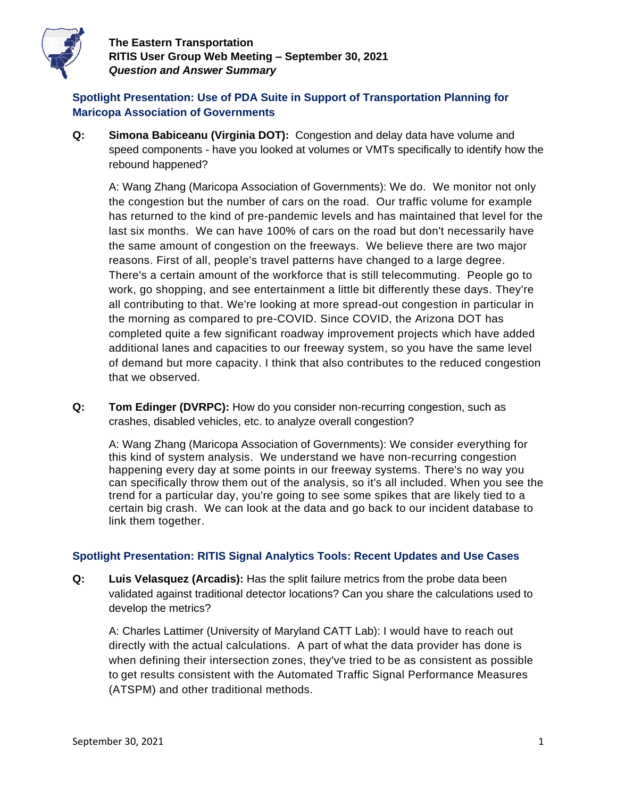

**The Eastern Transportation RITIS User Group Web Meeting – September 30, 2021** *Question and Answer Summary*

# **Spotlight Presentation: Use of PDA Suite in Support of Transportation Planning for Maricopa Association of Governments**

**Q: Simona Babiceanu (Virginia DOT):** Congestion and delay data have volume and speed components - have you looked at volumes or VMTs specifically to identify how the rebound happened?

A: Wang Zhang (Maricopa Association of Governments): We do. We monitor not only the congestion but the number of cars on the road. Our traffic volume for example has returned to the kind of pre-pandemic levels and has maintained that level for the last six months. We can have 100% of cars on the road but don't necessarily have the same amount of congestion on the freeways. We believe there are two major reasons. First of all, people's travel patterns have changed to a large degree. There's a certain amount of the workforce that is still telecommuting. People go to work, go shopping, and see entertainment a little bit differently these days. They're all contributing to that. We're looking at more spread-out congestion in particular in the morning as compared to pre-COVID. Since COVID, the Arizona DOT has completed quite a few significant roadway improvement projects which have added additional lanes and capacities to our freeway system, so you have the same level of demand but more capacity. I think that also contributes to the reduced congestion that we observed.

**Q: Tom Edinger (DVRPC):** How do you consider non-recurring congestion, such as crashes, disabled vehicles, etc. to analyze overall congestion?

A: Wang Zhang (Maricopa Association of Governments): We consider everything for this kind of system analysis. We understand we have non-recurring congestion happening every day at some points in our freeway systems. There's no way you can specifically throw them out of the analysis, so it's all included. When you see the trend for a particular day, you're going to see some spikes that are likely tied to a certain big crash. We can look at the data and go back to our incident database to link them together.

### **Spotlight Presentation: RITIS Signal Analytics Tools: Recent Updates and Use Cases**

**Q: Luis Velasquez (Arcadis):** Has the split failure metrics from the probe data been validated against traditional detector locations? Can you share the calculations used to develop the metrics?

A: Charles Lattimer (University of Maryland CATT Lab): I would have to reach out directly with the actual calculations. A part of what the data provider has done is when defining their intersection zones, they've tried to be as consistent as possible to get results consistent with the Automated Traffic Signal Performance Measures (ATSPM) and other traditional methods.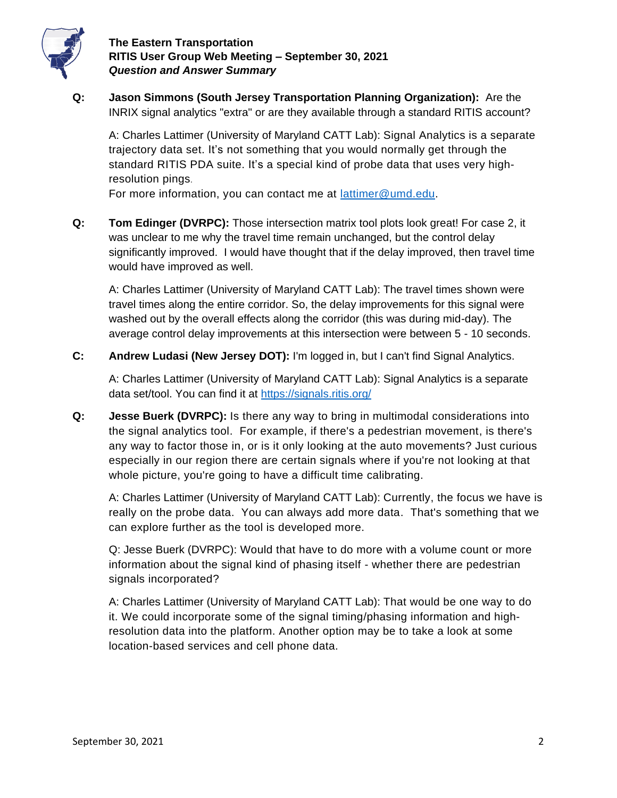

## **The Eastern Transportation RITIS User Group Web Meeting – September 30, 2021** *Question and Answer Summary*

**Q: Jason Simmons (South Jersey Transportation Planning Organization):** Are the INRIX signal analytics "extra" or are they available through a standard RITIS account?

A: Charles Lattimer (University of Maryland CATT Lab): Signal Analytics is a separate trajectory data set. It's not something that you would normally get through the standard RITIS PDA suite. It's a special kind of probe data that uses very highresolution pings.

For more information, you can contact me at [lattimer@umd.edu.](about:blank)

**Q: Tom Edinger (DVRPC):** Those intersection matrix tool plots look great! For case 2, it was unclear to me why the travel time remain unchanged, but the control delay significantly improved. I would have thought that if the delay improved, then travel time would have improved as well.

A: Charles Lattimer (University of Maryland CATT Lab): The travel times shown were travel times along the entire corridor. So, the delay improvements for this signal were washed out by the overall effects along the corridor (this was during mid-day). The average control delay improvements at this intersection were between 5 - 10 seconds.

**C: Andrew Ludasi (New Jersey DOT):** I'm logged in, but I can't find Signal Analytics.

A: Charles Lattimer (University of Maryland CATT Lab): Signal Analytics is a separate data set/tool. You can find it at [https://signals.ritis.org/](about:blank)

**Q: Jesse Buerk (DVRPC):** Is there any way to bring in multimodal considerations into the signal analytics tool. For example, if there's a pedestrian movement, is there's any way to factor those in, or is it only looking at the auto movements? Just curious especially in our region there are certain signals where if you're not looking at that whole picture, you're going to have a difficult time calibrating.

A: Charles Lattimer (University of Maryland CATT Lab): Currently, the focus we have is really on the probe data. You can always add more data. That's something that we can explore further as the tool is developed more.

Q: Jesse Buerk (DVRPC): Would that have to do more with a volume count or more information about the signal kind of phasing itself - whether there are pedestrian signals incorporated?

A: Charles Lattimer (University of Maryland CATT Lab): That would be one way to do it. We could incorporate some of the signal timing/phasing information and highresolution data into the platform. Another option may be to take a look at some location-based services and cell phone data.